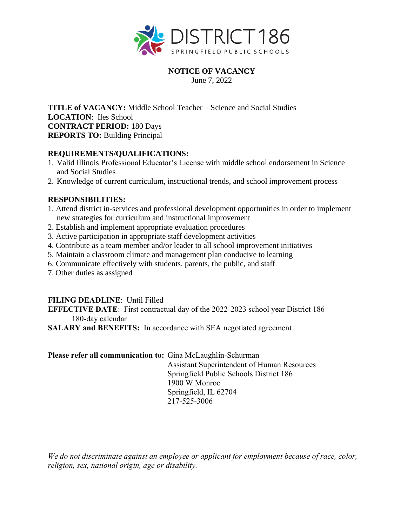

#### **NOTICE OF VACANCY** June 7, 2022

**TITLE of VACANCY:** Middle School Teacher – Science and Social Studies **LOCATION**: Iles School **CONTRACT PERIOD:** 180 Days **REPORTS TO:** Building Principal

#### **REQUIREMENTS/QUALIFICATIONS:**

- 1. Valid Illinois Professional Educator's License with middle school endorsement in Science and Social Studies
- 2. Knowledge of current curriculum, instructional trends, and school improvement process

#### **RESPONSIBILITIES:**

- 1. Attend district in-services and professional development opportunities in order to implement new strategies for curriculum and instructional improvement
- 2. Establish and implement appropriate evaluation procedures
- 3. Active participation in appropriate staff development activities
- 4. Contribute as a team member and/or leader to all school improvement initiatives
- 5. Maintain a classroom climate and management plan conducive to learning
- 6. Communicate effectively with students, parents, the public, and staff
- 7. Other duties as assigned

## **FILING DEADLINE**: Until Filled

**EFFECTIVE DATE**: First contractual day of the 2022-2023 school year District 186 180-day calendar

**SALARY and BENEFITS:** In accordance with SEA negotiated agreement

## **Please refer all communication to:** Gina McLaughlin-Schurman

Assistant Superintendent of Human Resources Springfield Public Schools District 186 1900 W Monroe Springfield, IL 62704 217-525-3006

*We do not discriminate against an employee or applicant for employment because of race, color, religion, sex, national origin, age or disability.*